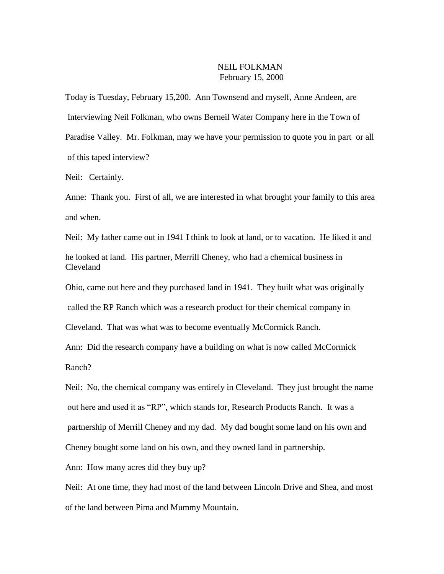## NEIL FOLKMAN February 15, 2000

Today is Tuesday, February 15,200. Ann Townsend and myself, Anne Andeen, are Interviewing Neil Folkman, who owns Berneil Water Company here in the Town of Paradise Valley. Mr. Folkman, may we have your permission to quote you in part or all of this taped interview?

Neil: Certainly.

Anne: Thank you. First of all, we are interested in what brought your family to this area and when.

Neil: My father came out in 1941 I think to look at land, or to vacation. He liked it and he looked at land. His partner, Merrill Cheney, who had a chemical business in Cleveland

Ohio, came out here and they purchased land in 1941. They built what was originally

called the RP Ranch which was a research product for their chemical company in

Cleveland. That was what was to become eventually McCormick Ranch.

Ann: Did the research company have a building on what is now called McCormick Ranch?

Neil: No, the chemical company was entirely in Cleveland. They just brought the name out here and used it as "RP", which stands for, Research Products Ranch. It was a partnership of Merrill Cheney and my dad. My dad bought some land on his own and Cheney bought some land on his own, and they owned land in partnership.

Ann: How many acres did they buy up?

Neil: At one time, they had most of the land between Lincoln Drive and Shea, and most of the land between Pima and Mummy Mountain.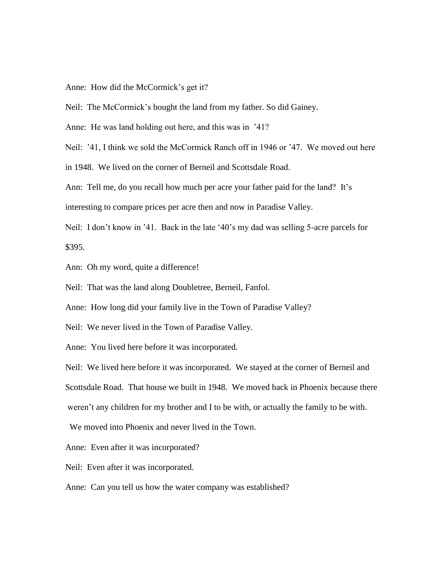Anne: How did the McCormick's get it?

Neil: The McCormick's bought the land from my father. So did Gainey.

Anne: He was land holding out here, and this was in '41?

Neil: '41, I think we sold the McCormick Ranch off in 1946 or '47. We moved out here

in 1948. We lived on the corner of Berneil and Scottsdale Road.

Ann: Tell me, do you recall how much per acre your father paid for the land? It's interesting to compare prices per acre then and now in Paradise Valley.

Neil: I don't know in '41. Back in the late '40's my dad was selling 5-acre parcels for \$395.

Ann: Oh my word, quite a difference!

Neil: That was the land along Doubletree, Berneil, Fanfol.

Anne: How long did your family live in the Town of Paradise Valley?

Neil: We never lived in the Town of Paradise Valley.

Anne: You lived here before it was incorporated.

Neil: We lived here before it was incorporated. We stayed at the corner of Berneil and Scottsdale Road. That house we built in 1948. We moved back in Phoenix because there weren't any children for my brother and I to be with, or actually the family to be with.

We moved into Phoenix and never lived in the Town.

Anne: Even after it was incorporated?

Neil: Even after it was incorporated.

Anne: Can you tell us how the water company was established?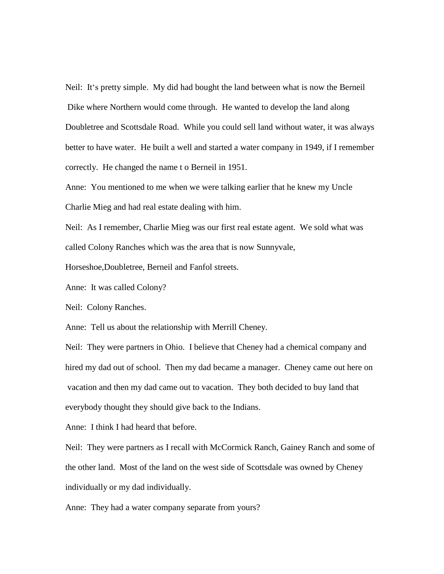Neil: It's pretty simple. My did had bought the land between what is now the Berneil Dike where Northern would come through. He wanted to develop the land along Doubletree and Scottsdale Road. While you could sell land without water, it was always better to have water. He built a well and started a water company in 1949, if I remember correctly. He changed the name t o Berneil in 1951.

Anne: You mentioned to me when we were talking earlier that he knew my Uncle Charlie Mieg and had real estate dealing with him.

Neil: As I remember, Charlie Mieg was our first real estate agent. We sold what was called Colony Ranches which was the area that is now Sunnyvale,

Horseshoe,Doubletree, Berneil and Fanfol streets.

Anne: It was called Colony?

Neil: Colony Ranches.

Anne: Tell us about the relationship with Merrill Cheney.

Neil: They were partners in Ohio. I believe that Cheney had a chemical company and hired my dad out of school. Then my dad became a manager. Cheney came out here on vacation and then my dad came out to vacation. They both decided to buy land that everybody thought they should give back to the Indians.

Anne: I think I had heard that before.

Neil: They were partners as I recall with McCormick Ranch, Gainey Ranch and some of the other land. Most of the land on the west side of Scottsdale was owned by Cheney individually or my dad individually.

Anne: They had a water company separate from yours?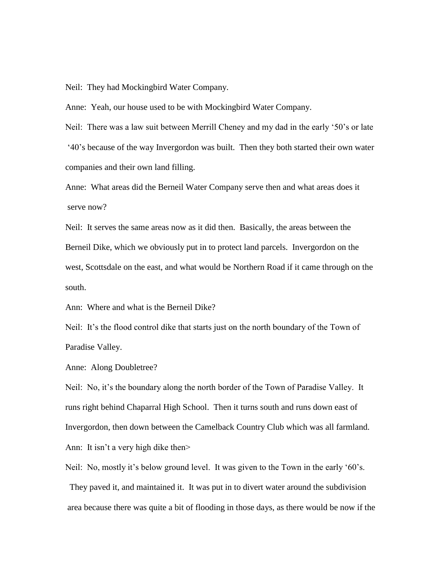Neil: They had Mockingbird Water Company.

Anne: Yeah, our house used to be with Mockingbird Water Company.

Neil: There was a law suit between Merrill Cheney and my dad in the early '50's or late '40's because of the way Invergordon was built. Then they both started their own water companies and their own land filling.

Anne: What areas did the Berneil Water Company serve then and what areas does it serve now?

Neil: It serves the same areas now as it did then. Basically, the areas between the Berneil Dike, which we obviously put in to protect land parcels. Invergordon on the west, Scottsdale on the east, and what would be Northern Road if it came through on the south.

Ann: Where and what is the Berneil Dike?

Neil: It's the flood control dike that starts just on the north boundary of the Town of Paradise Valley.

Anne: Along Doubletree?

Neil: No, it's the boundary along the north border of the Town of Paradise Valley. It runs right behind Chaparral High School. Then it turns south and runs down east of Invergordon, then down between the Camelback Country Club which was all farmland. Ann: It isn't a very high dike then>

Neil: No, mostly it's below ground level. It was given to the Town in the early '60's. They paved it, and maintained it. It was put in to divert water around the subdivision area because there was quite a bit of flooding in those days, as there would be now if the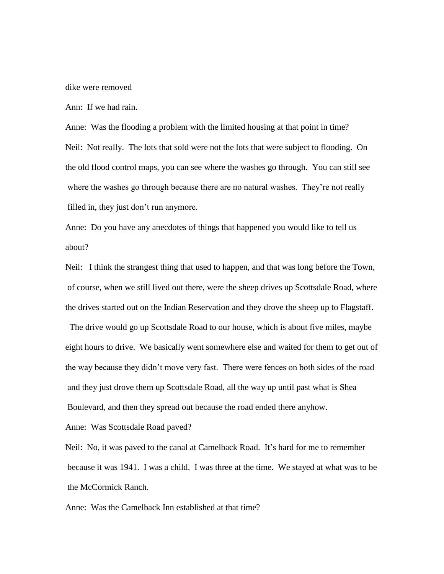dike were removed

Ann: If we had rain.

Anne: Was the flooding a problem with the limited housing at that point in time? Neil: Not really. The lots that sold were not the lots that were subject to flooding. On the old flood control maps, you can see where the washes go through. You can still see where the washes go through because there are no natural washes. They're not really filled in, they just don't run anymore.

Anne: Do you have any anecdotes of things that happened you would like to tell us about?

Neil: I think the strangest thing that used to happen, and that was long before the Town, of course, when we still lived out there, were the sheep drives up Scottsdale Road, where the drives started out on the Indian Reservation and they drove the sheep up to Flagstaff.

 The drive would go up Scottsdale Road to our house, which is about five miles, maybe eight hours to drive. We basically went somewhere else and waited for them to get out of the way because they didn't move very fast. There were fences on both sides of the road and they just drove them up Scottsdale Road, all the way up until past what is Shea Boulevard, and then they spread out because the road ended there anyhow.

Anne: Was Scottsdale Road paved?

Neil: No, it was paved to the canal at Camelback Road. It's hard for me to remember because it was 1941. I was a child. I was three at the time. We stayed at what was to be the McCormick Ranch.

Anne: Was the Camelback Inn established at that time?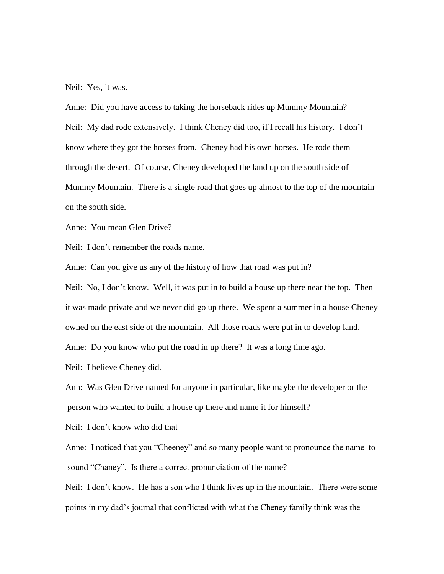Neil: Yes, it was.

Anne: Did you have access to taking the horseback rides up Mummy Mountain? Neil: My dad rode extensively. I think Cheney did too, if I recall his history. I don't know where they got the horses from. Cheney had his own horses. He rode them through the desert. Of course, Cheney developed the land up on the south side of Mummy Mountain. There is a single road that goes up almost to the top of the mountain on the south side.

Anne: You mean Glen Drive?

Neil: I don't remember the roads name.

Anne: Can you give us any of the history of how that road was put in?

Neil: No, I don't know. Well, it was put in to build a house up there near the top. Then it was made private and we never did go up there. We spent a summer in a house Cheney owned on the east side of the mountain. All those roads were put in to develop land. Anne: Do you know who put the road in up there? It was a long time ago.

Neil: I believe Cheney did.

Ann: Was Glen Drive named for anyone in particular, like maybe the developer or the person who wanted to build a house up there and name it for himself?

Neil: I don't know who did that

Anne: I noticed that you "Cheeney" and so many people want to pronounce the name to sound "Chaney". Is there a correct pronunciation of the name?

Neil: I don't know. He has a son who I think lives up in the mountain. There were some points in my dad's journal that conflicted with what the Cheney family think was the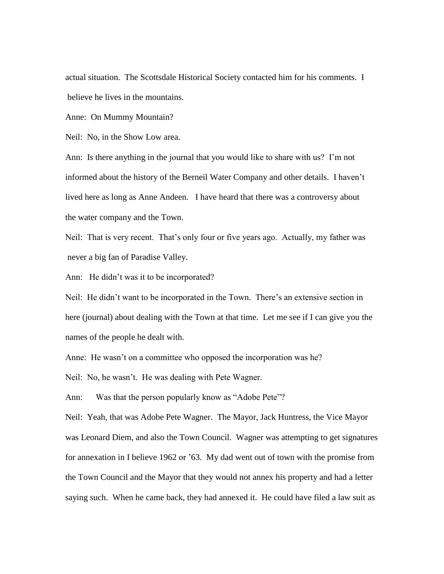actual situation. The Scottsdale Historical Society contacted him for his comments. I believe he lives in the mountains.

Anne: On Mummy Mountain?

Neil: No, in the Show Low area.

Ann: Is there anything in the journal that you would like to share with us? I'm not informed about the history of the Berneil Water Company and other details. I haven't lived here as long as Anne Andeen. I have heard that there was a controversy about the water company and the Town.

Neil: That is very recent. That's only four or five years ago. Actually, my father was never a big fan of Paradise Valley.

Ann: He didn't was it to be incorporated?

Neil: He didn't want to be incorporated in the Town. There's an extensive section in here (journal) about dealing with the Town at that time. Let me see if I can give you the names of the people he dealt with.

Anne: He wasn't on a committee who opposed the incorporation was he?

Neil: No, he wasn't. He was dealing with Pete Wagner.

Ann: Was that the person popularly know as "Adobe Pete"?

Neil: Yeah, that was Adobe Pete Wagner. The Mayor, Jack Huntress, the Vice Mayor was Leonard Diem, and also the Town Council. Wagner was attempting to get signatures for annexation in I believe 1962 or '63. My dad went out of town with the promise from the Town Council and the Mayor that they would not annex his property and had a letter saying such. When he came back, they had annexed it. He could have filed a law suit as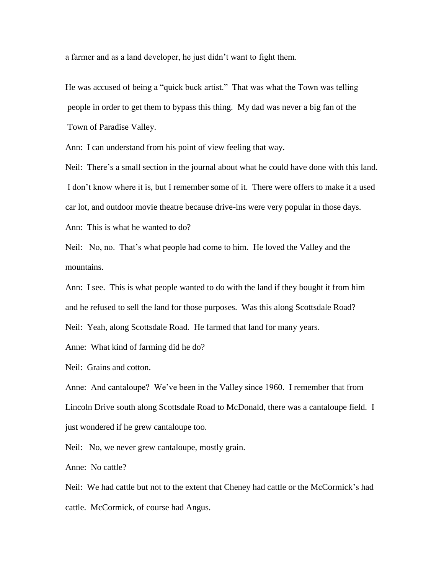a farmer and as a land developer, he just didn't want to fight them.

He was accused of being a "quick buck artist." That was what the Town was telling people in order to get them to bypass this thing. My dad was never a big fan of the Town of Paradise Valley.

Ann: I can understand from his point of view feeling that way.

Neil: There's a small section in the journal about what he could have done with this land. I don't know where it is, but I remember some of it. There were offers to make it a used car lot, and outdoor movie theatre because drive-ins were very popular in those days.

Ann: This is what he wanted to do?

Neil: No, no. That's what people had come to him. He loved the Valley and the mountains.

Ann: I see. This is what people wanted to do with the land if they bought it from him and he refused to sell the land for those purposes. Was this along Scottsdale Road? Neil: Yeah, along Scottsdale Road. He farmed that land for many years.

Anne: What kind of farming did he do?

Neil: Grains and cotton.

Anne: And cantaloupe? We've been in the Valley since 1960. I remember that from Lincoln Drive south along Scottsdale Road to McDonald, there was a cantaloupe field. I just wondered if he grew cantaloupe too.

Neil: No, we never grew cantaloupe, mostly grain.

Anne: No cattle?

Neil: We had cattle but not to the extent that Cheney had cattle or the McCormick's had cattle. McCormick, of course had Angus.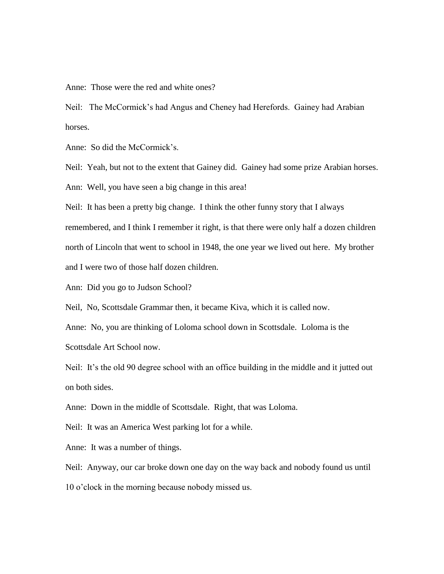Anne: Those were the red and white ones?

Neil: The McCormick's had Angus and Cheney had Herefords. Gainey had Arabian horses.

Anne: So did the McCormick's.

Neil: Yeah, but not to the extent that Gainey did. Gainey had some prize Arabian horses.

Ann: Well, you have seen a big change in this area!

Neil: It has been a pretty big change. I think the other funny story that I always remembered, and I think I remember it right, is that there were only half a dozen children north of Lincoln that went to school in 1948, the one year we lived out here. My brother and I were two of those half dozen children.

Ann: Did you go to Judson School?

Neil, No, Scottsdale Grammar then, it became Kiva, which it is called now.

Anne: No, you are thinking of Loloma school down in Scottsdale. Loloma is the Scottsdale Art School now.

Neil: It's the old 90 degree school with an office building in the middle and it jutted out on both sides.

Anne: Down in the middle of Scottsdale. Right, that was Loloma.

Neil: It was an America West parking lot for a while.

Anne: It was a number of things.

Neil: Anyway, our car broke down one day on the way back and nobody found us until 10 o'clock in the morning because nobody missed us.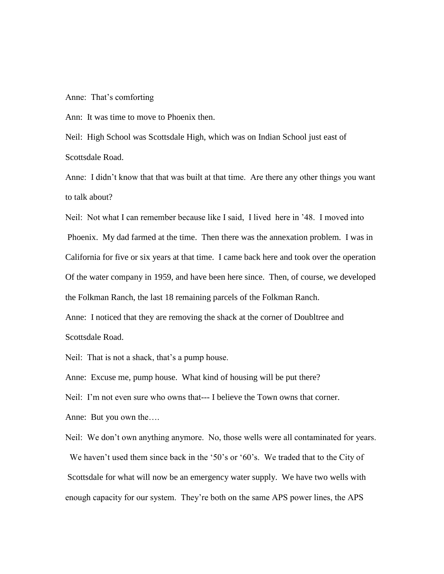Anne: That's comforting

Ann: It was time to move to Phoenix then.

Neil: High School was Scottsdale High, which was on Indian School just east of Scottsdale Road.

Anne: I didn't know that that was built at that time. Are there any other things you want to talk about?

Neil: Not what I can remember because like I said, I lived here in '48. I moved into Phoenix. My dad farmed at the time. Then there was the annexation problem. I was in California for five or six years at that time. I came back here and took over the operation Of the water company in 1959, and have been here since. Then, of course, we developed the Folkman Ranch, the last 18 remaining parcels of the Folkman Ranch.

Anne: I noticed that they are removing the shack at the corner of Doubltree and Scottsdale Road.

Neil: That is not a shack, that's a pump house.

Anne: Excuse me, pump house. What kind of housing will be put there?

Neil: I'm not even sure who owns that--- I believe the Town owns that corner.

Anne: But you own the….

Neil: We don't own anything anymore. No, those wells were all contaminated for years. We haven't used them since back in the '50's or '60's. We traded that to the City of Scottsdale for what will now be an emergency water supply. We have two wells with enough capacity for our system. They're both on the same APS power lines, the APS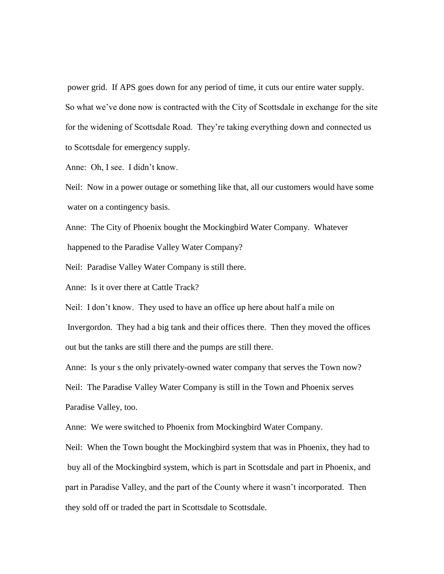power grid. If APS goes down for any period of time, it cuts our entire water supply. So what we've done now is contracted with the City of Scottsdale in exchange for the site for the widening of Scottsdale Road. They're taking everything down and connected us to Scottsdale for emergency supply.

Anne: Oh, I see. I didn't know.

Neil: Now in a power outage or something like that, all our customers would have some water on a contingency basis.

Anne: The City of Phoenix bought the Mockingbird Water Company. Whatever happened to the Paradise Valley Water Company?

Neil: Paradise Valley Water Company is still there.

Anne: Is it over there at Cattle Track?

Neil: I don't know. They used to have an office up here about half a mile on

Invergordon. They had a big tank and their offices there. Then they moved the offices out but the tanks are still there and the pumps are still there.

Anne: Is your s the only privately-owned water company that serves the Town now? Neil: The Paradise Valley Water Company is still in the Town and Phoenix serves Paradise Valley, too.

Anne: We were switched to Phoenix from Mockingbird Water Company.

Neil: When the Town bought the Mockingbird system that was in Phoenix, they had to buy all of the Mockingbird system, which is part in Scottsdale and part in Phoenix, and part in Paradise Valley, and the part of the County where it wasn't incorporated. Then they sold off or traded the part in Scottsdale to Scottsdale.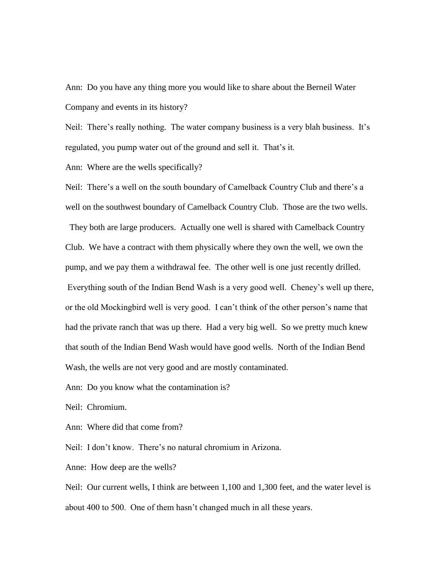Ann: Do you have any thing more you would like to share about the Berneil Water Company and events in its history?

Neil: There's really nothing. The water company business is a very blah business. It's regulated, you pump water out of the ground and sell it. That's it.

Ann: Where are the wells specifically?

Neil: There's a well on the south boundary of Camelback Country Club and there's a well on the southwest boundary of Camelback Country Club. Those are the two wells. They both are large producers. Actually one well is shared with Camelback Country Club. We have a contract with them physically where they own the well, we own the pump, and we pay them a withdrawal fee. The other well is one just recently drilled. Everything south of the Indian Bend Wash is a very good well. Cheney's well up there, or the old Mockingbird well is very good. I can't think of the other person's name that had the private ranch that was up there. Had a very big well. So we pretty much knew that south of the Indian Bend Wash would have good wells. North of the Indian Bend Wash, the wells are not very good and are mostly contaminated.

Ann: Do you know what the contamination is?

Neil: Chromium.

Ann: Where did that come from?

Neil: I don't know. There's no natural chromium in Arizona.

Anne: How deep are the wells?

Neil: Our current wells, I think are between 1,100 and 1,300 feet, and the water level is about 400 to 500. One of them hasn't changed much in all these years.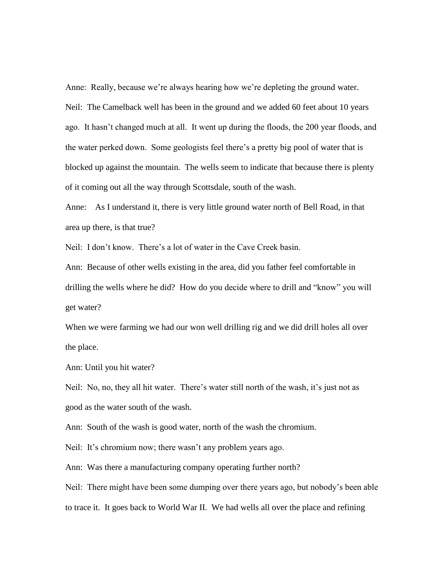Anne: Really, because we're always hearing how we're depleting the ground water. Neil: The Camelback well has been in the ground and we added 60 feet about 10 years ago. It hasn't changed much at all. It went up during the floods, the 200 year floods, and the water perked down. Some geologists feel there's a pretty big pool of water that is blocked up against the mountain. The wells seem to indicate that because there is plenty of it coming out all the way through Scottsdale, south of the wash.

Anne: As I understand it, there is very little ground water north of Bell Road, in that area up there, is that true?

Neil: I don't know. There's a lot of water in the Cave Creek basin.

Ann: Because of other wells existing in the area, did you father feel comfortable in drilling the wells where he did? How do you decide where to drill and "know" you will get water?

When we were farming we had our won well drilling rig and we did drill holes all over the place.

Ann: Until you hit water?

Neil: No, no, they all hit water. There's water still north of the wash, it's just not as good as the water south of the wash.

Ann: South of the wash is good water, north of the wash the chromium.

Neil: It's chromium now; there wasn't any problem years ago.

Ann: Was there a manufacturing company operating further north?

Neil: There might have been some dumping over there years ago, but nobody's been able to trace it. It goes back to World War II. We had wells all over the place and refining